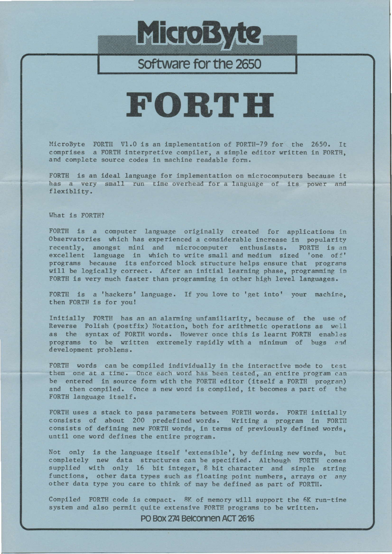# MicroByte

### Software for the 2650

## FORTH

MicroByte FORTH V1.0 is an implementation of FORTH-79 for the 2650. It comprises a FORTH interpretive compiler, a simple editor written in FORTH, and complete source codes in machine readable form.

FORTH is an ideal language for implementation on microcomputers because it has a very small run time overhead for a language of its power and flexiblity.

#### What is FORTH?

FORTH is a computer language originally created for applications in Observatories which has experienced a considerable increase in popularity recently, amongst mini and microcomputer enthusiasts. FORTH is an excellent language in which to write small and medium sized 'one off' programs because its enforced block structure helps ensure that programs will be logically correct. After an initial learning phase, programming in FORTH is very much faster than programming in other high level languages.

FORTH is a 'hackers' language. If you love to 'get into' your machine, then FORTH is for you!

Initially FORTH has an an alarming unfamiliarity, because of the use of Reverse Polish (postfix) Notation, both for arithmetic operations as well as the syntax of FORTH words. However once this is learnt FORTH enables programs to be written extremely rapidly with a minimum of bugs and development problems.

FORTH words can be compiled individually in the interactive mode to test them one at a time. Once each word has been tested, an entire program can be entered in source form with the FORTH editor (itself a FORTH program) and then compiled. Once a new word is compiled, it becomes a part of the FORTH language itself.

FORTH uses a stack to pass parameters between FORTH words. FORTH initially consists of about 200 predefined words. Writing a program in FORTH consists of defining new FORTH words, in terms of previously defined words, until one word defines the entire program.

Not only is the language itself 'extensible', by defining new words, but completely new data structures can be specified. Although FORTH comes supplied with only 16 bit integer, 8 bit character and simple string functions, other data types such as floating point numbers, arrays or any other data type you care to think of may be defined as part of FORTH.

Compiled FORTH code is compact. 8K of memory will support the 6K run-time system and also permit quite extensive FORTH programs to be written.

PO Box 274 Belconnen ACT 2616